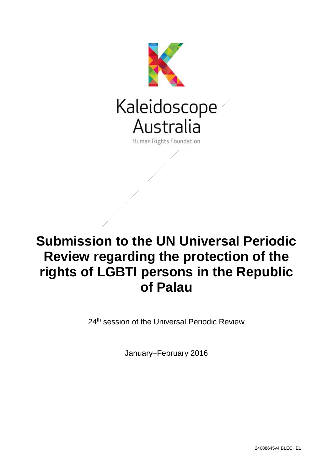

# **Submission to the UN Universal Periodic Review regarding the protection of the rights of LGBTI persons in the Republic of Palau**

24<sup>th</sup> session of the Universal Periodic Review

January–February 2016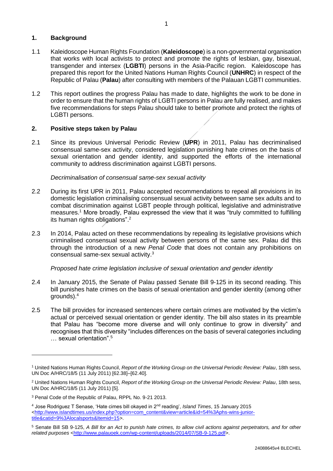## **1. Background**

- 1.1 Kaleidoscope Human Rights Foundation (**Kaleidoscope**) is a non-governmental organisation that works with local activists to protect and promote the rights of lesbian, gay, bisexual, transgender and intersex (**LGBTI**) persons in the Asia-Pacific region. Kaleidoscope has prepared this report for the United Nations Human Rights Council (**UNHRC**) in respect of the Republic of Palau (**Palau**) after consulting with members of the Palauan LGBTI communities.
- 1.2 This report outlines the progress Palau has made to date, highlights the work to be done in order to ensure that the human rights of LGBTI persons in Palau are fully realised, and makes five recommendations for steps Palau should take to better promote and protect the rights of LGBTI persons.

## **2. Positive steps taken by Palau**

2.1 Since its previous Universal Periodic Review (**UPR**) in 2011, Palau has decriminalised consensual same-sex activity, considered legislation punishing hate crimes on the basis of sexual orientation and gender identity, and supported the efforts of the international community to address discrimination against LGBTI persons.

#### *Decriminalisation of consensual same-sex sexual activity*

- 2.2 During its first UPR in 2011, Palau accepted recommendations to repeal all provisions in its domestic legislation criminalising consensual sexual activity between same sex adults and to combat discrimination against LGBT people through political, legislative and administrative measures.<sup>1</sup> More broadly, Palau expressed the view that it was "truly committed to fulfilling its human rights obligations".<sup>2</sup>
- 2.3 In 2014, Palau acted on these recommendations by repealing its legislative provisions which criminalised consensual sexual activity between persons of the same sex. Palau did this through the introduction of a new *Penal Code* that does not contain any prohibitions on consensual same-sex sexual activity. 3

#### *Proposed hate crime legislation inclusive of sexual orientation and gender identity*

- 2.4 In January 2015, the Senate of Palau passed Senate Bill 9-125 in its second reading. This bill punishes hate crimes on the basis of sexual orientation and gender identity (among other grounds).<sup>4</sup>
- 2.5 The bill provides for increased sentences where certain crimes are motivated by the victim's actual or perceived sexual orientation or gender identity. The bill also states in its preamble that Palau has "become more diverse and will only continue to grow in diversity" and recognises that this diversity "includes differences on the basis of several categories including … sexual orientation".<sup>5</sup>

<sup>1</sup> United Nations Human Rights Council, *Report of the Working Group on the Universal Periodic Review: Palau*, 18th sess, UN Doc A/HRC/18/5 (11 July 2011) [62.38]–[62.40].

<sup>2</sup> United Nations Human Rights Council, *Report of the Working Group on the Universal Periodic Review: Palau*, 18th sess, UN Doc A/HRC/18/5 (11 July 2011) [5].

<sup>3</sup> Penal Code of the Republic of Palau, RPPL No. 9-21 2013.

<sup>4</sup> Jose Rodriguez T Senase, 'Hate cimes bill okayed in 2nd reading', *Island Times*, 15 January 2015  $\leftarrow$ http://www.islandtimes.us/index.php?option=com\_content&view=article&id=54%3Aphs-wins-junior[title&catid=9%3Alocalsports&Itemid=15>](http://www.islandtimes.us/index.php?option=com_content&view=article&id=54%3Aphs-wins-junior-title&catid=9%3Alocalsports&Itemid=15).

<sup>5</sup> Senate Bill SB 9-125, *A Bill for an Act to punish hate crimes, to allow civil actions against perpetrators, and for other related purposes* [<http://www.palauoek.com/wp-content/uploads/2014/07/SB-9-125.pdf>](http://www.palauoek.com/wp-content/uploads/2014/07/SB-9-125.pdf).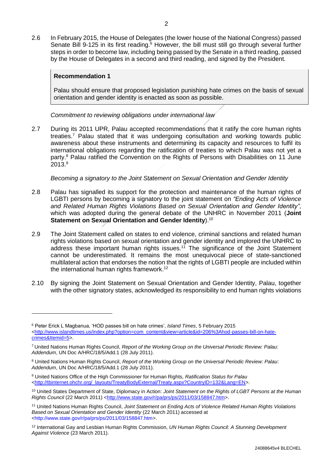2.6 In February 2015, the House of Delegates (the lower house of the National Congress) passed Senate Bill 9-125 in its first reading.<sup>6</sup> However, the bill must still go through several further steps in order to become law, including being passed by the Senate in a third reading, passed by the House of Delegates in a second and third reading, and signed by the President.

## **Recommendation 1**

-

Palau should ensure that proposed legislation punishing hate crimes on the basis of sexual orientation and gender identity is enacted as soon as possible.

*Commitment to reviewing obligations under international law*

2.7 During its 2011 UPR, Palau accepted recommendations that it ratify the core human rights treaties.<sup>7</sup> Palau stated that it was undergoing consultation and working towards public awareness about these instruments and determining its capacity and resources to fulfil its international obligations regarding the ratification of treaties to which Palau was not yet a party.<sup>8</sup> Palau ratified the Convention on the Rights of Persons with Disabilities on 11 June 2013.<sup>9</sup>

*Becoming a signatory to the Joint Statement on Sexual Orientation and Gender Identity*

- 2.8 Palau has signalled its support for the protection and maintenance of the human rights of LGBTI persons by becoming a signatory to the joint statement on *"Ending Acts of Violence and Related Human Rights Violations Based on Sexual Orientation and Gender Identity"*, which was adopted during the general debate of the UNHRC in November 2011 (**Joint Statement on Sexual Orientation and Gender Identity**).<sup>10</sup>
- 2.9 The Joint Statement called on states to end violence, criminal sanctions and related human rights violations based on sexual orientation and gender identity and implored the UNHRC to address these important human rights issues.<sup>11</sup> The significance of the Joint Statement cannot be underestimated. It remains the most unequivocal piece of state-sanctioned multilateral action that endorses the notion that the rights of LGBTI people are included within the international human rights framework.<sup>12</sup>
- 2.10 By signing the Joint Statement on Sexual Orientation and Gender Identity, Palau, together with the other signatory states, acknowledged its responsibility to end human rights violations

<sup>6</sup> Peter Erick L Magbanua, 'HOD passes bill on hate crimes', *Island Times*, 5 February 2015 [<http://www.islandtimes.us/index.php?option=com\\_content&view=article&id=206%3Ahod-passes-bill-on-hate](http://www.islandtimes.us/index.php?option=com_content&view=article&id=206%3Ahod-passes-bill-on-hate-crimes&Itemid=5)[crimes&Itemid=5>](http://www.islandtimes.us/index.php?option=com_content&view=article&id=206%3Ahod-passes-bill-on-hate-crimes&Itemid=5).

<sup>7</sup> United Nations Human Rights Council, *Report of the Working Group on the Universal Periodic Review: Palau: Addendum*, UN Doc A/HRC/18/5/Add.1 (28 July 2011).

<sup>8</sup> United Nations Human Rights Council, *Report of the Working Group on the Universal Periodic Review: Palau*: *Addendum*, UN Doc A/HRC/18/5/Add.1 (28 July 2011).

<sup>9</sup> United Nations Office of the High Commissioner for Human Rights, *Ratification Status for Palau* [<http://tbinternet.ohchr.org/\\_layouts/TreatyBodyExternal/Treaty.aspx?CountryID=132&Lang=EN>](http://tbinternet.ohchr.org/_layouts/TreatyBodyExternal/Treaty.aspx?CountryID=132&Lang=EN).

<sup>10</sup> United States Department of State, Diplomacy in Action: *Joint Statement on the Rights of LGBT Persons at the Human Rights Council* (22 March 2011) [<http://www.state.gov/r/pa/prs/ps/2011/03/158847.htm>](http://www.state.gov/r/pa/prs/ps/2011/03/158847.htm).

<sup>11</sup> United Nations Human Rights Council, *Joint Statement on Ending Acts of Violence Related Human Rights Violations Based on Sexual Orientation and Gender Identity* (22 March 2011) accessed at <http://www.state.gov/r/pa/prs/ps/2011/03/158847.htm>.

<sup>12</sup> International Gay and Lesbian Human Rights Commission, *UN Human Rights Council: A Stunning Development Against Violence* (23 March 2011).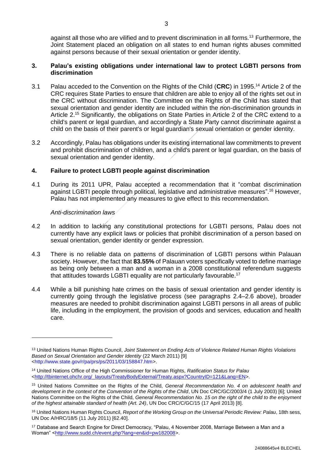against all those who are vilified and to prevent discrimination in all forms.<sup>13</sup> Furthermore, the Joint Statement placed an obligation on all states to end human rights abuses committed against persons because of their sexual orientation or gender identity.

#### **3. Palau's existing obligations under international law to protect LGBTI persons from discrimination**

- 3.1 Palau acceded to the Convention on the Rights of the Child (**CRC**) in 1995. <sup>14</sup> Article 2 of the CRC requires State Parties to ensure that children are able to enjoy all of the rights set out in the CRC without discrimination. The Committee on the Rights of the Child has stated that sexual orientation and gender identity are included within the non-discrimination grounds in Article 2.<sup>15</sup> Significantly, the obligations on State Parties in Article 2 of the CRC extend to a child's parent or legal guardian, and accordingly a State Party cannot discriminate against a child on the basis of their parent's or legal guardian's sexual orientation or gender identity.
- 3.2 Accordingly, Palau has obligations under its existing international law commitments to prevent and prohibit discrimination of children, and a child's parent or legal guardian, on the basis of sexual orientation and gender identity.

## **4. Failure to protect LGBTI people against discrimination**

4.1 During its 2011 UPR, Palau accepted a recommendation that it "combat discrimination against LGBTI people through political, legislative and administrative measures".<sup>16</sup> However, Palau has not implemented any measures to give effect to this recommendation.

#### *Anti-discrimination laws*

- 4.2 In addition to lacking any constitutional protections for LGBTI persons, Palau does not currently have any explicit laws or policies that prohibit discrimination of a person based on sexual orientation, gender identity or gender expression.
- 4.3 There is no reliable data on patterns of discrimination of LGBTI persons within Palauan society. However, the fact that **83.55%** of Palauan voters specifically voted to define marriage as being only between a man and a woman in a 2008 constitutional referendum suggests that attitudes towards LGBTI equality are not particularly favourable.<sup>17</sup>
- 4.4 While a bill punishing hate crimes on the basis of sexual orientation and gender identity is currently going through the legislative process (see paragraphs 2.4–2.6 above), broader measures are needed to prohibit discrimination against LGBTI persons in all areas of public life, including in the employment, the provision of goods and services, education and health care.

<sup>13</sup> United Nations Human Rights Council, *Joint Statement on Ending Acts of Violence Related Human Rights Violations Based on Sexual Orientation and Gender Identity* (22 March 2011) [9] <http://www.state.gov/r/pa/prs/ps/2011/03/158847.htm>.

<sup>14</sup> United Nations Office of the High Commissioner for Human Rights, *Ratification Status for Palau* [<http://tbinternet.ohchr.org/\\_layouts/TreatyBodyExternal/Treaty.aspx?CountryID=121&Lang=EN>](http://tbinternet.ohchr.org/_layouts/TreatyBodyExternal/Treaty.aspx?CountryID=121&Lang=EN).

<sup>15</sup> United Nations Committee on the Rights of the Child, *General Recommendation No. 4 on adolescent health and development in the context of the Convention of the Rights of the Child*, UN Doc CRC/GC/2003/4 (1 July 2003) [6]; United Nations Committee on the Rights of the Child, *General Recommendation No. 15 on the right of the child to the enjoyment of the highest attainable standard of health (Art. 24)*, UN Doc CRC/C/GC/15 (17 April 2013) [8].

<sup>16</sup> United Nations Human Rights Council, *Report of the Working Group on the Universal Periodic Review: Palau*, 18th sess, UN Doc A/HRC/18/5 (11 July 2011) [62.40].

<sup>17</sup> Database and Search Engine for Direct Democracy, "Palau, 4 November 2008, Marriage Between a Man and a Woman" [<http://www.sudd.ch/event.php?lang=en&id=pw182008>](http://www.sudd.ch/event.php?lang=en&id=pw182008).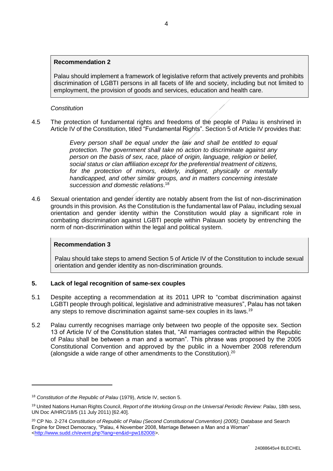#### **Recommendation 2**

Palau should implement a framework of legislative reform that actively prevents and prohibits discrimination of LGBTI persons in all facets of life and society, including but not limited to employment, the provision of goods and services, education and health care.

#### *Constitution*

4.5 The protection of fundamental rights and freedoms of the people of Palau is enshrined in Article IV of the Constitution, titled "Fundamental Rights". Section 5 of Article IV provides that:

> *Every person shall be equal under the law and shall be entitled to equal protection. The government shall take no action to discriminate against any person on the basis of sex, race, place of origin, language, religion or belief, social status or clan affiliation except for the preferential treatment of citizens, for the protection of minors, elderly, indigent, physically or mentally handicapped, and other similar groups, and in matters concerning intestate succession and domestic relations*. 18

4.6 Sexual orientation and gender identity are notably absent from the list of non-discrimination grounds in this provision. As the Constitution is the fundamental law of Palau, including sexual orientation and gender identity within the Constitution would play a significant role in combating discrimination against LGBTI people within Palauan society by entrenching the norm of non-discrimination within the legal and political system.

## **Recommendation 3**

Palau should take steps to amend Section 5 of Article IV of the Constitution to include sexual orientation and gender identity as non-discrimination grounds.

#### **5. Lack of legal recognition of same-sex couples**

- 5.1 Despite accepting a recommendation at its 2011 UPR to "combat discrimination against LGBTI people through political, legislative and administrative measures", Palau has not taken any steps to remove discrimination against same-sex couples in its laws.<sup>19</sup>
- 5.2 Palau currently recognises marriage only between two people of the opposite sex. Section 13 of Article IV of the Constitution states that, "All marriages contracted within the Republic of Palau shall be between a man and a woman". This phrase was proposed by the 2005 Constitutional Convention and approved by the public in a November 2008 referendum (alongside a wide range of other amendments to the Constitution). $20$

<sup>18</sup> *Constitution of the Republic of Palau* (1979), Article IV, section 5.

<sup>19</sup> United Nations Human Rights Council, *Report of the Working Group on the Universal Periodic Review: Palau*, 18th sess, UN Doc A/HRC/18/5 (11 July 2011) [62.40].

<sup>20</sup> CP No. 2-274 *Constitution of Republic of Palau (Second Constitutional Convention) (2005)*; Database and Search Engine for Direct Democracy, "Palau, 4 November 2008, Marriage Between a Man and a Woman" [<http://www.sudd.ch/event.php?lang=en&id=pw182008>](http://www.sudd.ch/event.php?lang=en&id=pw182008).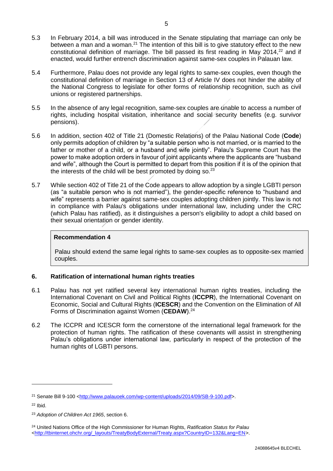- 5.3 In February 2014, a bill was introduced in the Senate stipulating that marriage can only be between a man and a woman.<sup>21</sup> The intention of this bill is to give statutory effect to the new constitutional definition of marriage. The bill passed its first reading in May 2014,<sup>22</sup> and if enacted, would further entrench discrimination against same-sex couples in Palauan law.
- 5.4 Furthermore, Palau does not provide any legal rights to same-sex couples, even though the constitutional definition of marriage in Section 13 of Article IV does not hinder the ability of the National Congress to legislate for other forms of relationship recognition, such as civil unions or registered partnerships.
- 5.5 In the absence of any legal recognition, same-sex couples are unable to access a number of rights, including hospital visitation, inheritance and social security benefits (e.g. survivor pensions).
- 5.6 In addition, section 402 of Title 21 (Domestic Relations) of the Palau National Code (**Code**) only permits adoption of children by "a suitable person who is not married, or is married to the father or mother of a child, or a husband and wife jointly". Palau's Supreme Court has the power to make adoption orders in favour of joint applicants where the applicants are "husband and wife", although the Court is permitted to depart from this position if it is of the opinion that the interests of the child will be best promoted by doing so. $23$
- 5.7 While section 402 of Title 21 of the Code appears to allow adoption by a single LGBTI person (as "a suitable person who is not married"), the gender-specific reference to "husband and wife" represents a barrier against same-sex couples adopting children jointly. This law is not in compliance with Palau's obligations under international law, including under the CRC (which Palau has ratified), as it distinguishes a person's eligibility to adopt a child based on their sexual orientation or gender identity.

## **Recommendation 4**

Palau should extend the same legal rights to same-sex couples as to opposite-sex married couples.

## **6. Ratification of international human rights treaties**

- 6.1 Palau has not yet ratified several key international human rights treaties, including the International Covenant on Civil and Political Rights (**ICCPR**), the International Covenant on Economic, Social and Cultural Rights (**ICESCR**) and the Convention on the Elimination of All Forms of Discrimination against Women (**CEDAW**). 24
- 6.2 The ICCPR and ICESCR form the cornerstone of the international legal framework for the protection of human rights. The ratification of these covenants will assist in strengthening Palau's obligations under international law, particularly in respect of the protection of the human rights of LGBTI persons.

 $22$  Ibid.

<sup>&</sup>lt;sup>21</sup> Senate Bill 9-100 [<http://www.palauoek.com/wp-content/uploads/2014/09/SB-9-100.pdf>](http://www.palauoek.com/wp-content/uploads/2014/09/SB-9-100.pdf).

<sup>23</sup> *Adoption of Children Act 1965*, section 6.

<sup>24</sup> United Nations Office of the High Commissioner for Human Rights, *Ratification Status for Palau* [<http://tbinternet.ohchr.org/\\_layouts/TreatyBodyExternal/Treaty.aspx?CountryID=132&Lang=EN>](http://tbinternet.ohchr.org/_layouts/TreatyBodyExternal/Treaty.aspx?CountryID=132&Lang=EN).